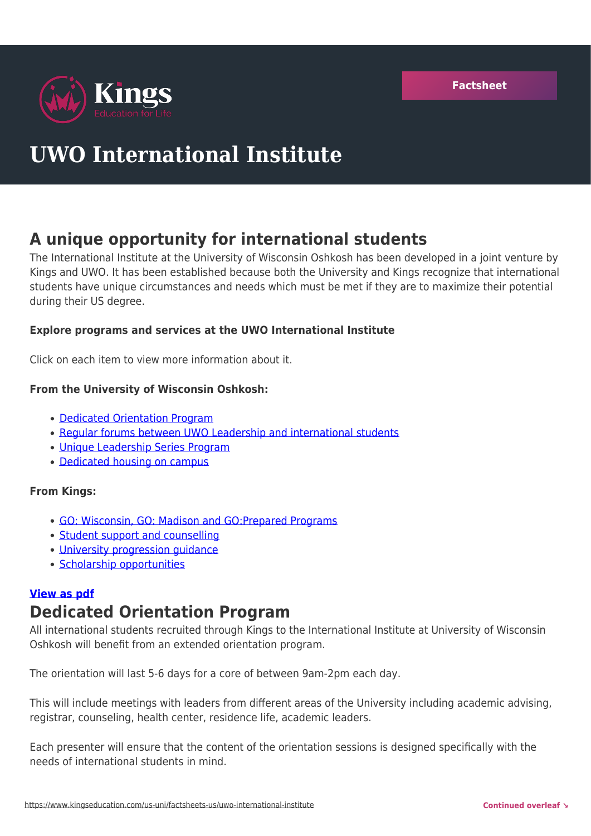

# **UWO International Institute**

## **A unique opportunity for international students**

The International Institute at the University of Wisconsin Oshkosh has been developed in a joint venture by Kings and UWO. It has been established because both the University and Kings recognize that international students have unique circumstances and needs which must be met if they are to maximize their potential during their US degree.

## **Explore programs and services at the UWO International Institute**

Click on each item to view more information about it.

## **From the University of Wisconsin Oshkosh:**

- [Dedicated Orientation Program](https://www.kingseducation.com/us-uni/factsheets-us/uwo-international-institute#orientation)
- [Regular forums between UWO Leadership and international students](https://www.kingseducation.com/us-uni/factsheets-us/uwo-international-institute#forums)
- [Unique Leadership Series Program](https://www.kingseducation.com/us-uni/factsheets-us/uwo-international-institute#leadership)
- [Dedicated housing on campus](https://www.kingseducation.com/us-uni/factsheets-us/uwo-international-institute#housing)

## **From Kings:**

- [GO: Wisconsin, GO: Madison and GO:Prepared Programs](https://www.kingseducation.com/us-uni/factsheets-us/uwo-international-institute#programs)
- [Student support and counselling](https://www.kingseducation.com/us-uni/factsheets-us/uwo-international-institute#support)
- [University progression guidance](https://www.kingseducation.com/us-uni/factsheets-us/uwo-international-institute#progression)
- [Scholarship opportunities](https://www.kingseducation.com/us-uni/factsheets-us/uwo-international-institute#scholarship)

## **[View as pdf](https://issuu.com/kingseducation/docs/uwointinstflyer?fr=sZDczMTI0MzcxMzA)**

## **Dedicated Orientation Program**

All international students recruited through Kings to the International Institute at University of Wisconsin Oshkosh will benefit from an extended orientation program.

The orientation will last 5-6 days for a core of between 9am-2pm each day.

This will include meetings with leaders from different areas of the University including academic advising, registrar, counseling, health center, residence life, academic leaders.

Each presenter will ensure that the content of the orientation sessions is designed specifically with the needs of international students in mind.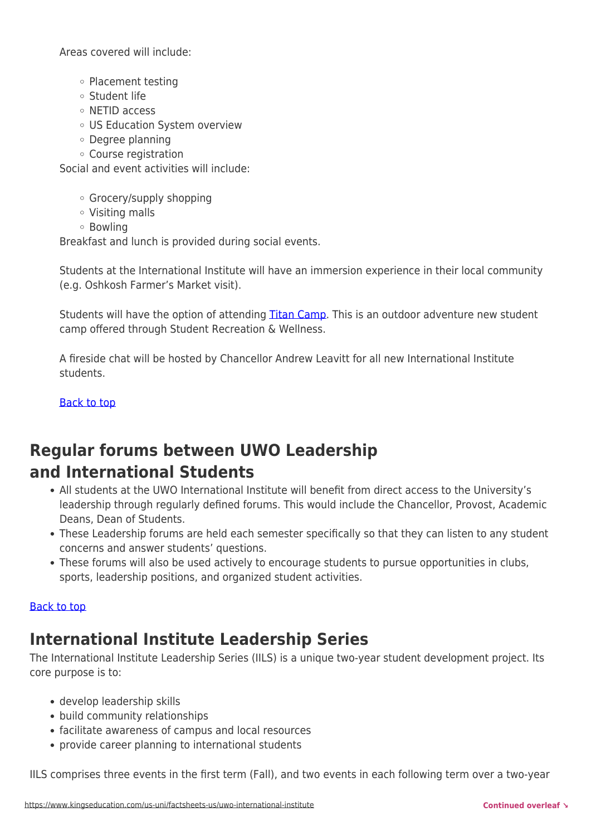Areas covered will include:

- o Placement testing
- Student life
- NETID access
- US Education System overview
- Degree planning
- Course registration

Social and event activities will include:

- Grocery/supply shopping
- Visiting malls
- Bowling

Breakfast and lunch is provided during social events.

Students at the International Institute will have an immersion experience in their local community (e.g. Oshkosh Farmer's Market visit).

Students will have the option of attending [Titan Camp.](https://uwosh.edu/newstudents/titan-camp/) This is an outdoor adventure new student camp offered through Student Recreation & Wellness.

A fireside chat will be hosted by Chancellor Andrew Leavitt for all new International Institute students.

[Back to top](https://www.kingseducation.com/us-uni/factsheets-us/uwo-international-institute#top)

## **Regular forums between UWO Leadership and International Students**

- All students at the UWO International Institute will benefit from direct access to the University's leadership through regularly defined forums. This would include the Chancellor, Provost, Academic Deans, Dean of Students.
- These Leadership forums are held each semester specifically so that they can listen to any student concerns and answer students' questions.
- These forums will also be used actively to encourage students to pursue opportunities in clubs, sports, leadership positions, and organized student activities.

#### [Back to top](https://www.kingseducation.com/us-uni/factsheets-us/uwo-international-institute#top)

## **International Institute Leadership Series**

The International Institute Leadership Series (IILS) is a unique two-year student development project. Its core purpose is to:

- develop leadership skills
- build community relationships
- facilitate awareness of campus and local resources
- provide career planning to international students

IILS comprises three events in the first term (Fall), and two events in each following term over a two-year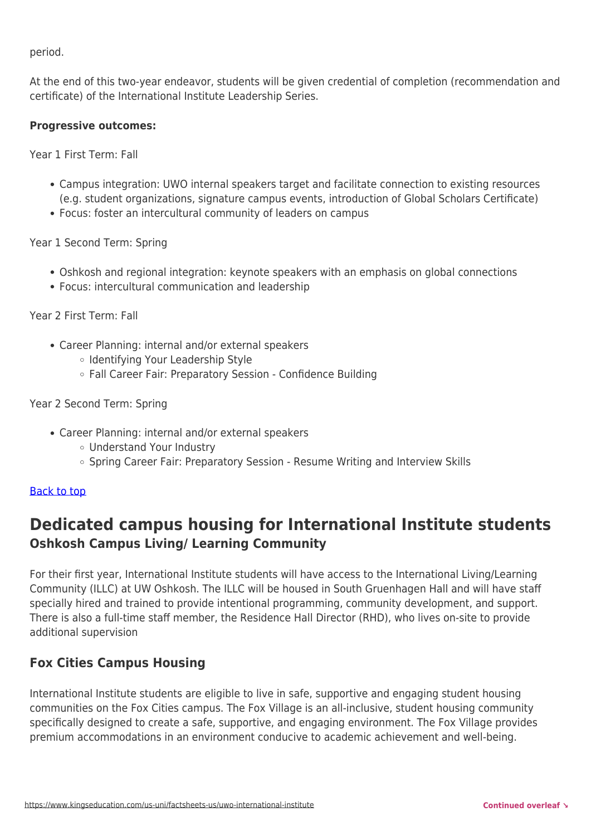period.

At the end of this two-year endeavor, students will be given credential of completion (recommendation and certificate) of the International Institute Leadership Series.

## **Progressive outcomes:**

Year 1 First Term: Fall

- Campus integration: UWO internal speakers target and facilitate connection to existing resources (e.g. student organizations, signature campus events, introduction of Global Scholars Certificate)
- Focus: foster an intercultural community of leaders on campus

Year 1 Second Term: Spring

- Oshkosh and regional integration: keynote speakers with an emphasis on global connections
- Focus: intercultural communication and leadership

Year 2 First Term: Fall

- Career Planning: internal and/or external speakers
	- o Identifying Your Leadership Style
	- Fall Career Fair: Preparatory Session Confidence Building

## Year 2 Second Term: Spring

- Career Planning: internal and/or external speakers
	- Understand Your Industry
	- Spring Career Fair: Preparatory Session Resume Writing and Interview Skills

## [Back to top](https://www.kingseducation.com/us-uni/factsheets-us/uwo-international-institute#top)

## **Dedicated campus housing for International Institute students Oshkosh Campus Living/ Learning Community**

For their first year, International Institute students will have access to the International Living/Learning Community (ILLC) at UW Oshkosh. The ILLC will be housed in South Gruenhagen Hall and will have staff specially hired and trained to provide intentional programming, community development, and support. There is also a full-time staff member, the Residence Hall Director (RHD), who lives on-site to provide additional supervision

## **Fox Cities Campus Housing**

International Institute students are eligible to live in safe, supportive and engaging student housing communities on the Fox Cities campus. The Fox Village is an all-inclusive, student housing community specifically designed to create a safe, supportive, and engaging environment. The Fox Village provides premium accommodations in an environment conducive to academic achievement and well-being.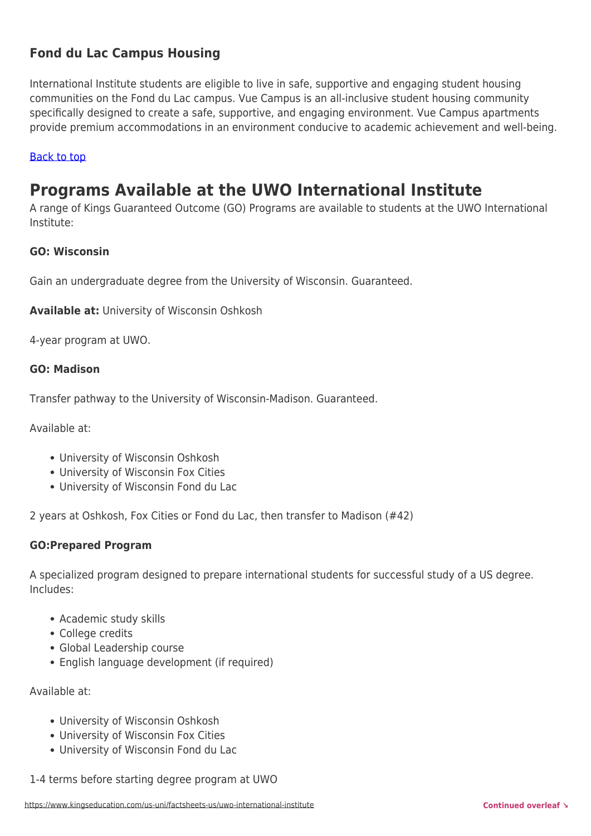## **Fond du Lac Campus Housing**

International Institute students are eligible to live in safe, supportive and engaging student housing communities on the Fond du Lac campus. Vue Campus is an all-inclusive student housing community specifically designed to create a safe, supportive, and engaging environment. Vue Campus apartments provide premium accommodations in an environment conducive to academic achievement and well-being.

### [Back to top](https://www.kingseducation.com/us-uni/factsheets-us/uwo-international-institute#top)

## **Programs Available at the UWO International Institute**

A range of Kings Guaranteed Outcome (GO) Programs are available to students at the UWO International Institute:

### **GO: Wisconsin**

Gain an undergraduate degree from the University of Wisconsin. Guaranteed.

**Available at:** University of Wisconsin Oshkosh

4-year program at UWO.

### **GO: Madison**

Transfer pathway to the University of Wisconsin-Madison. Guaranteed.

Available at:

- University of Wisconsin Oshkosh
- University of Wisconsin Fox Cities
- University of Wisconsin Fond du Lac

2 years at Oshkosh, Fox Cities or Fond du Lac, then transfer to Madison (#42)

## **GO:Prepared Program**

A specialized program designed to prepare international students for successful study of a US degree. Includes:

- Academic study skills
- College credits
- Global Leadership course
- English language development (if required)

Available at:

- University of Wisconsin Oshkosh
- University of Wisconsin Fox Cities
- University of Wisconsin Fond du Lac
- 1-4 terms before starting degree program at UWO